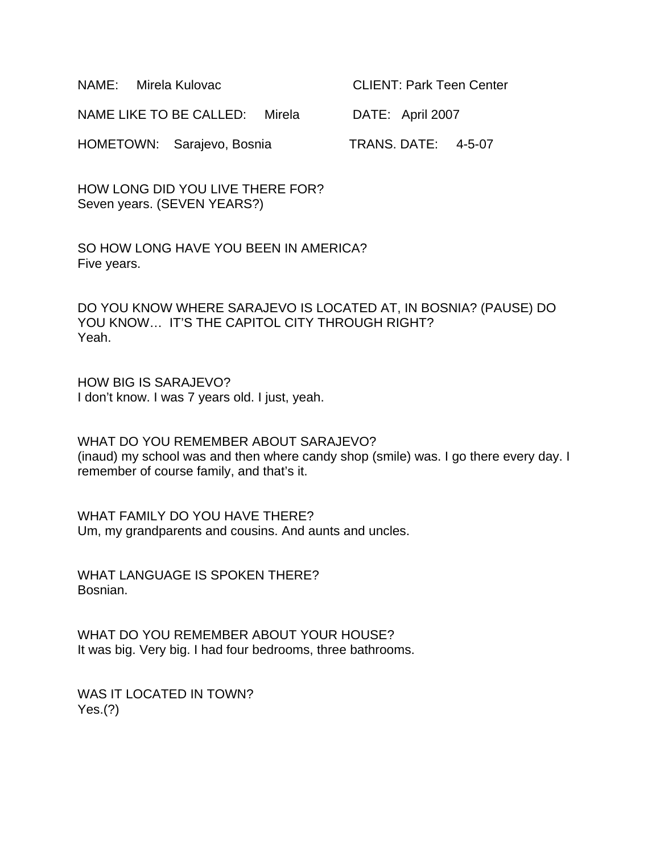| NAME: Mirela Kulovac              | <b>CLIENT: Park Teen Center</b> |
|-----------------------------------|---------------------------------|
| NAME LIKE TO BE CALLED:<br>Mirela | DATE: April 2007                |
| HOMETOWN: Sarajevo, Bosnia        | <b>TRANS. DATE: 4-5-07</b>      |

HOW LONG DID YOU LIVE THERE FOR? Seven years. (SEVEN YEARS?)

SO HOW LONG HAVE YOU BEEN IN AMERICA? Five years.

DO YOU KNOW WHERE SARAJEVO IS LOCATED AT, IN BOSNIA? (PAUSE) DO YOU KNOW... IT'S THE CAPITOL CITY THROUGH RIGHT? Yeah.

HOW BIG IS SARAJEVO? I don't know. I was 7 years old. I just, yeah.

WHAT DO YOU REMEMBER ABOUT SARAJEVO? (inaud) my school was and then where candy shop (smile) was. I go there every day. I remember of course family, and that's it.

WHAT FAMILY DO YOU HAVE THERE? Um, my grandparents and cousins. And aunts and uncles.

WHAT LANGUAGE IS SPOKEN THERE? Bosnian.

WHAT DO YOU REMEMBER ABOUT YOUR HOUSE? It was big. Very big. I had four bedrooms, three bathrooms.

WAS IT LOCATED IN TOWN? Yes.(?)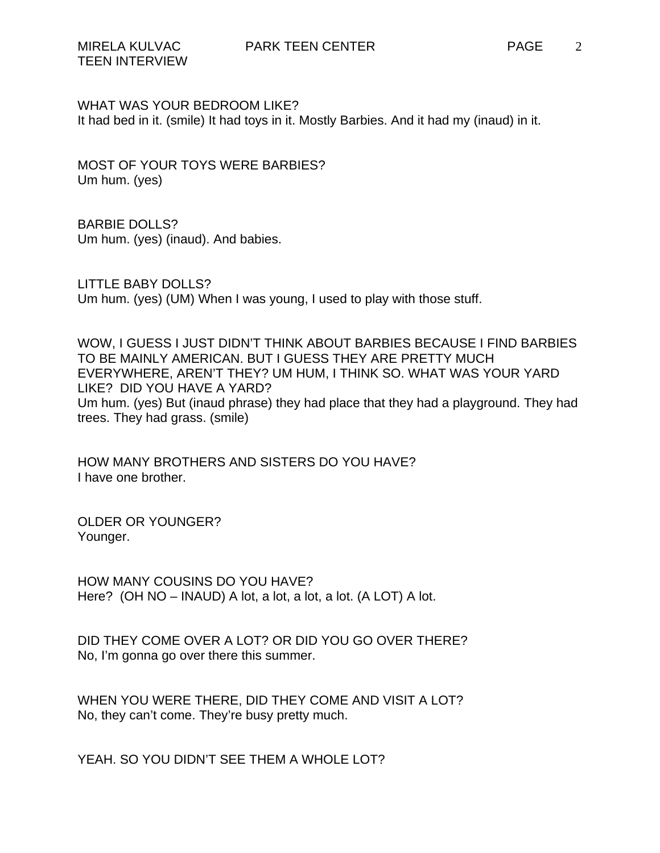WHAT WAS YOUR BEDROOM LIKE? It had bed in it. (smile) It had toys in it. Mostly Barbies. And it had my (inaud) in it.

MOST OF YOUR TOYS WERE BARBIES? Um hum. (yes)

BARBIE DOLLS? Um hum. (yes) (inaud). And babies.

LITTLE BABY DOLLS? Um hum. (yes) (UM) When I was young, I used to play with those stuff.

WOW, I GUESS I JUST DIDN'T THINK ABOUT BARBIES BECAUSE I FIND BARBIES TO BE MAINLY AMERICAN. BUT I GUESS THEY ARE PRETTY MUCH EVERYWHERE, AREN'T THEY? UM HUM, I THINK SO. WHAT WAS YOUR YARD LIKE? DID YOU HAVE A YARD? Um hum. (yes) But (inaud phrase) they had place that they had a playground. They had trees. They had grass. (smile)

HOW MANY BROTHERS AND SISTERS DO YOU HAVE? I have one brother.

OLDER OR YOUNGER? Younger.

HOW MANY COUSINS DO YOU HAVE? Here? (OH NO – INAUD) A lot, a lot, a lot, a lot. (A LOT) A lot.

DID THEY COME OVER A LOT? OR DID YOU GO OVER THERE? No, I'm gonna go over there this summer.

WHEN YOU WERE THERE, DID THEY COME AND VISIT A LOT? No, they can't come. They're busy pretty much.

YEAH. SO YOU DIDN'T SEE THEM A WHOLE LOT?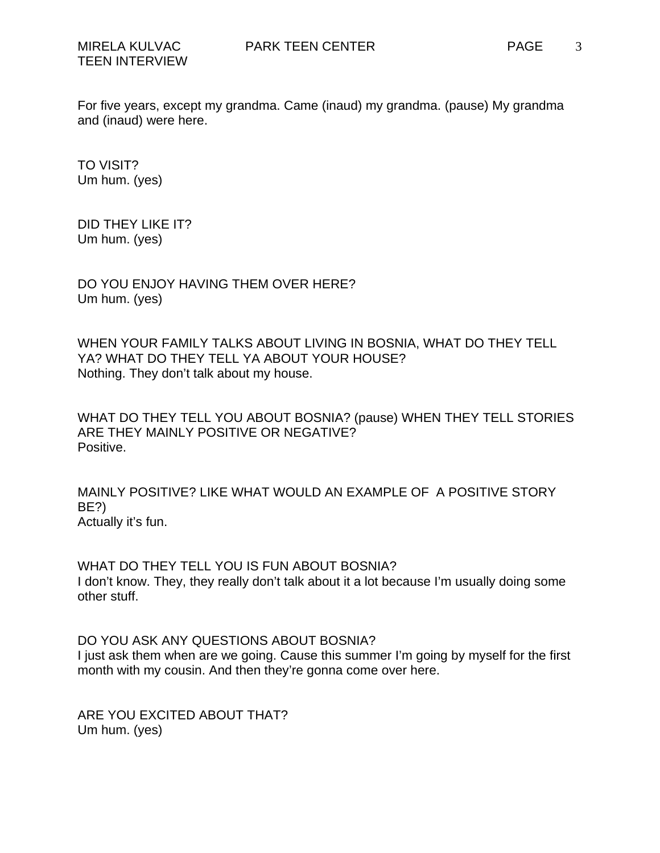3

For five years, except my grandma. Came (inaud) my grandma. (pause) My grandma and (inaud) were here.

TO VISIT? Um hum. (yes)

DID THEY LIKE IT? Um hum. (yes)

DO YOU ENJOY HAVING THEM OVER HERE? Um hum. (yes)

WHEN YOUR FAMILY TALKS ABOUT LIVING IN BOSNIA, WHAT DO THEY TELL YA? WHAT DO THEY TELL YA ABOUT YOUR HOUSE? Nothing. They don't talk about my house.

WHAT DO THEY TELL YOU ABOUT BOSNIA? (pause) WHEN THEY TELL STORIES ARE THEY MAINLY POSITIVE OR NEGATIVE? Positive.

MAINLY POSITIVE? LIKE WHAT WOULD AN EXAMPLE OF A POSITIVE STORY BE?) Actually it's fun.

WHAT DO THEY TELL YOU IS FUN ABOUT BOSNIA? I don't know. They, they really don't talk about it a lot because I'm usually doing some other stuff.

DO YOU ASK ANY QUESTIONS ABOUT BOSNIA? I just ask them when are we going. Cause this summer I'm going by myself for the first month with my cousin. And then they're gonna come over here.

ARE YOU EXCITED ABOUT THAT? Um hum. (yes)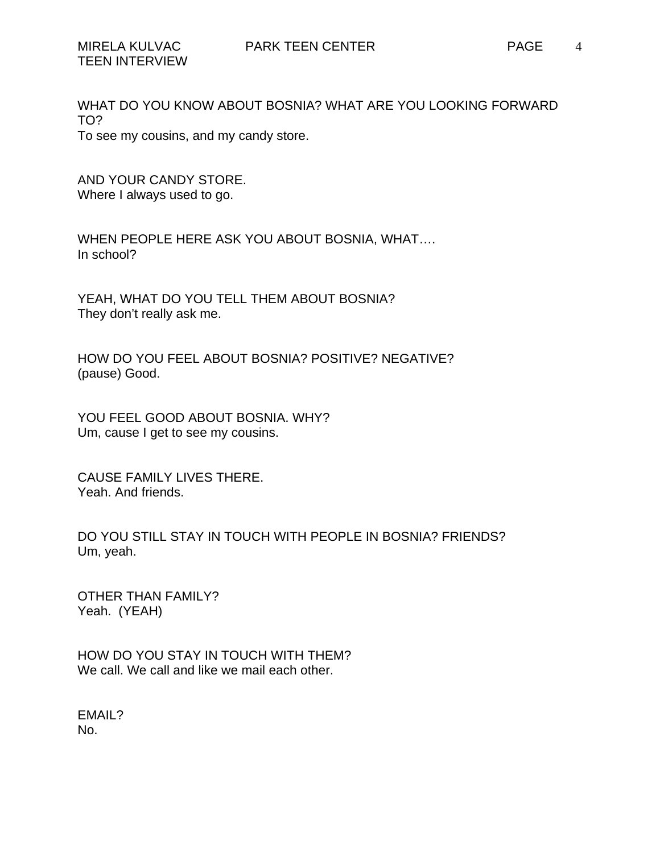WHAT DO YOU KNOW ABOUT BOSNIA? WHAT ARE YOU LOOKING FORWARD TO? To see my cousins, and my candy store.

AND YOUR CANDY STORE. Where I always used to go.

WHEN PEOPLE HERE ASK YOU ABOUT BOSNIA, WHAT…. In school?

YEAH, WHAT DO YOU TELL THEM ABOUT BOSNIA? They don't really ask me.

HOW DO YOU FEEL ABOUT BOSNIA? POSITIVE? NEGATIVE? (pause) Good.

YOU FEEL GOOD ABOUT BOSNIA. WHY? Um, cause I get to see my cousins.

CAUSE FAMILY LIVES THERE. Yeah. And friends.

DO YOU STILL STAY IN TOUCH WITH PEOPLE IN BOSNIA? FRIENDS? Um, yeah.

OTHER THAN FAMILY? Yeah. (YEAH)

HOW DO YOU STAY IN TOUCH WITH THEM? We call. We call and like we mail each other.

EMAIL? No.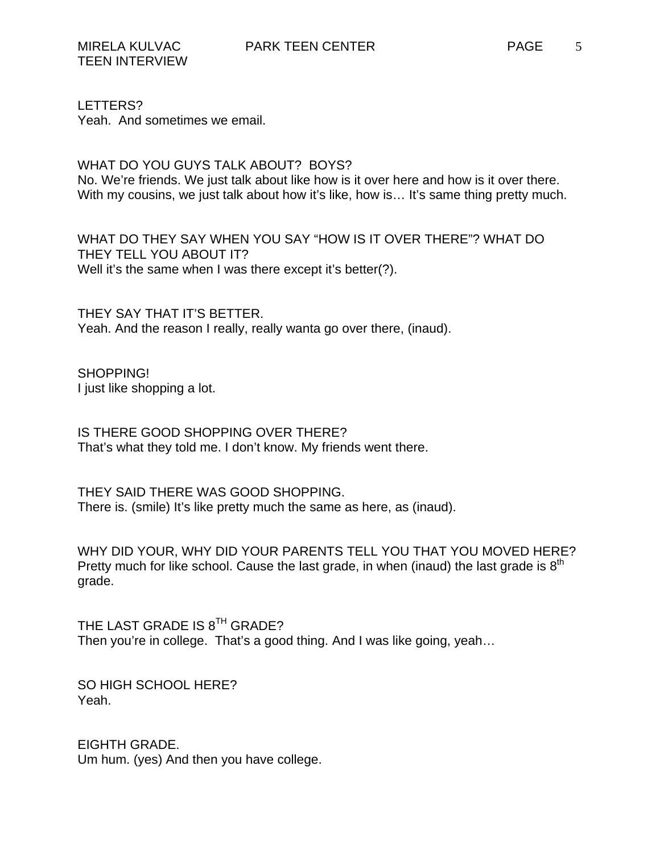LETTERS?

Yeah. And sometimes we email.

WHAT DO YOU GUYS TALK ABOUT? BOYS?

No. We're friends. We just talk about like how is it over here and how is it over there. With my cousins, we just talk about how it's like, how is... It's same thing pretty much.

WHAT DO THEY SAY WHEN YOU SAY "HOW IS IT OVER THERE"? WHAT DO THEY TELL YOU ABOUT IT? Well it's the same when I was there except it's better(?).

THEY SAY THAT IT'S BETTER. Yeah. And the reason I really, really wanta go over there, (inaud).

SHOPPING! I just like shopping a lot.

IS THERE GOOD SHOPPING OVER THERE? That's what they told me. I don't know. My friends went there.

THEY SAID THERE WAS GOOD SHOPPING. There is. (smile) It's like pretty much the same as here, as (inaud).

WHY DID YOUR, WHY DID YOUR PARENTS TELL YOU THAT YOU MOVED HERE? Pretty much for like school. Cause the last grade, in when (inaud) the last grade is  $8<sup>th</sup>$ grade.

THE LAST GRADE IS 8<sup>TH</sup> GRADE? Then you're in college. That's a good thing. And I was like going, yeah…

SO HIGH SCHOOL HERE? Yeah.

EIGHTH GRADE. Um hum. (yes) And then you have college.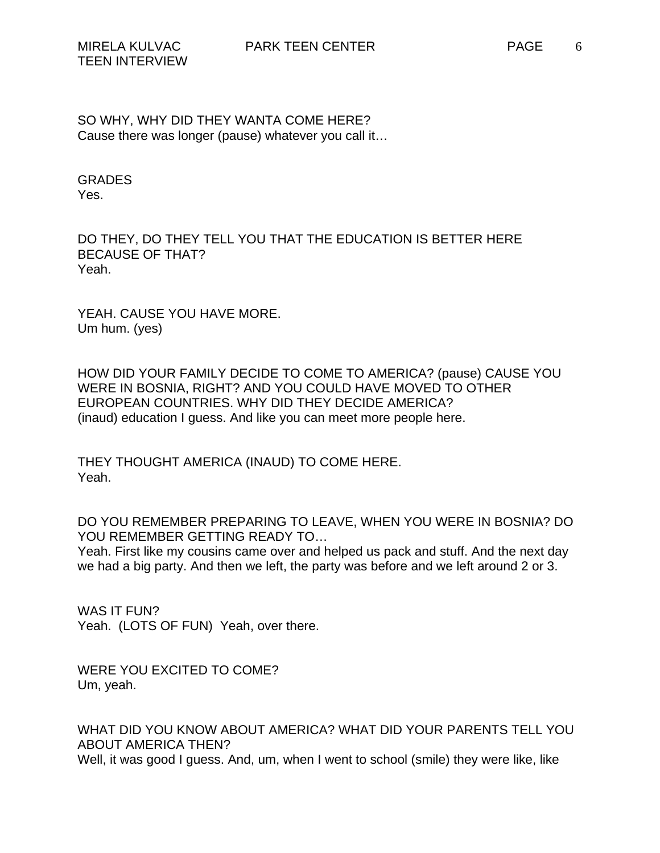SO WHY, WHY DID THEY WANTA COME HERE? Cause there was longer (pause) whatever you call it…

GRADES Yes.

DO THEY, DO THEY TELL YOU THAT THE EDUCATION IS BETTER HERE BECAUSE OF THAT? Yeah.

YEAH. CAUSE YOU HAVE MORE. Um hum. (yes)

HOW DID YOUR FAMILY DECIDE TO COME TO AMERICA? (pause) CAUSE YOU WERE IN BOSNIA, RIGHT? AND YOU COULD HAVE MOVED TO OTHER EUROPEAN COUNTRIES. WHY DID THEY DECIDE AMERICA? (inaud) education I guess. And like you can meet more people here.

THEY THOUGHT AMERICA (INAUD) TO COME HERE. Yeah.

DO YOU REMEMBER PREPARING TO LEAVE, WHEN YOU WERE IN BOSNIA? DO YOU REMEMBER GETTING READY TO…

Yeah. First like my cousins came over and helped us pack and stuff. And the next day we had a big party. And then we left, the party was before and we left around 2 or 3.

WAS IT FUN? Yeah. (LOTS OF FUN) Yeah, over there.

WERE YOU EXCITED TO COME? Um, yeah.

WHAT DID YOU KNOW ABOUT AMERICA? WHAT DID YOUR PARENTS TELL YOU ABOUT AMERICA THEN? Well, it was good I guess. And, um, when I went to school (smile) they were like, like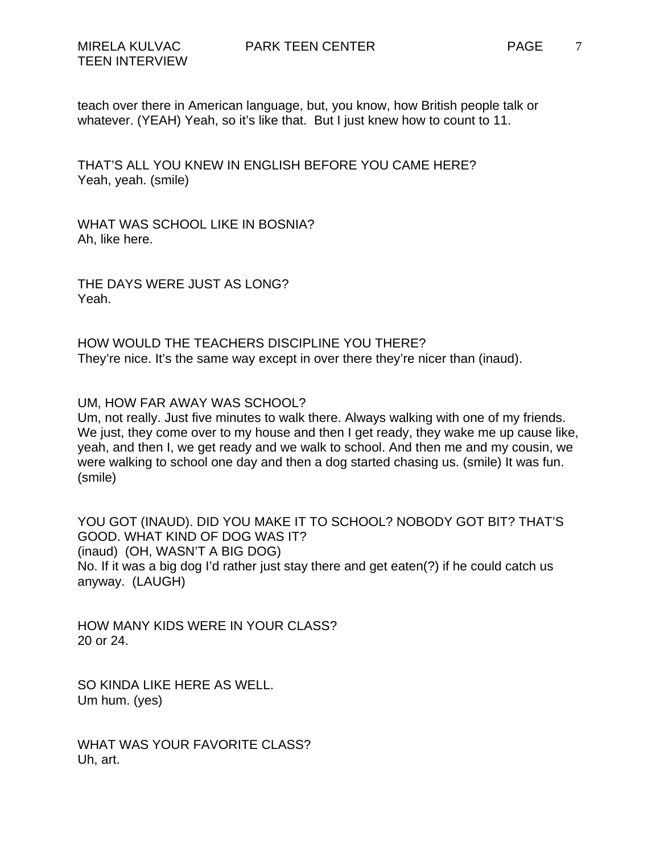teach over there in American language, but, you know, how British people talk or whatever. (YEAH) Yeah, so it's like that. But I just knew how to count to 11.

THAT'S ALL YOU KNEW IN ENGLISH BEFORE YOU CAME HERE? Yeah, yeah. (smile)

WHAT WAS SCHOOL LIKE IN BOSNIA? Ah, like here.

THE DAYS WERE JUST AS LONG? Yeah.

HOW WOULD THE TEACHERS DISCIPLINE YOU THERE? They're nice. It's the same way except in over there they're nicer than (inaud).

UM, HOW FAR AWAY WAS SCHOOL?

Um, not really. Just five minutes to walk there. Always walking with one of my friends. We just, they come over to my house and then I get ready, they wake me up cause like, yeah, and then I, we get ready and we walk to school. And then me and my cousin, we were walking to school one day and then a dog started chasing us. (smile) It was fun. (smile)

YOU GOT (INAUD). DID YOU MAKE IT TO SCHOOL? NOBODY GOT BIT? THAT'S GOOD. WHAT KIND OF DOG WAS IT? (inaud) (OH, WASN'T A BIG DOG) No. If it was a big dog I'd rather just stay there and get eaten(?) if he could catch us anyway. (LAUGH)

HOW MANY KIDS WERE IN YOUR CLASS? 20 or 24.

SO KINDA LIKE HERE AS WELL. Um hum. (yes)

WHAT WAS YOUR FAVORITE CLASS? Uh, art.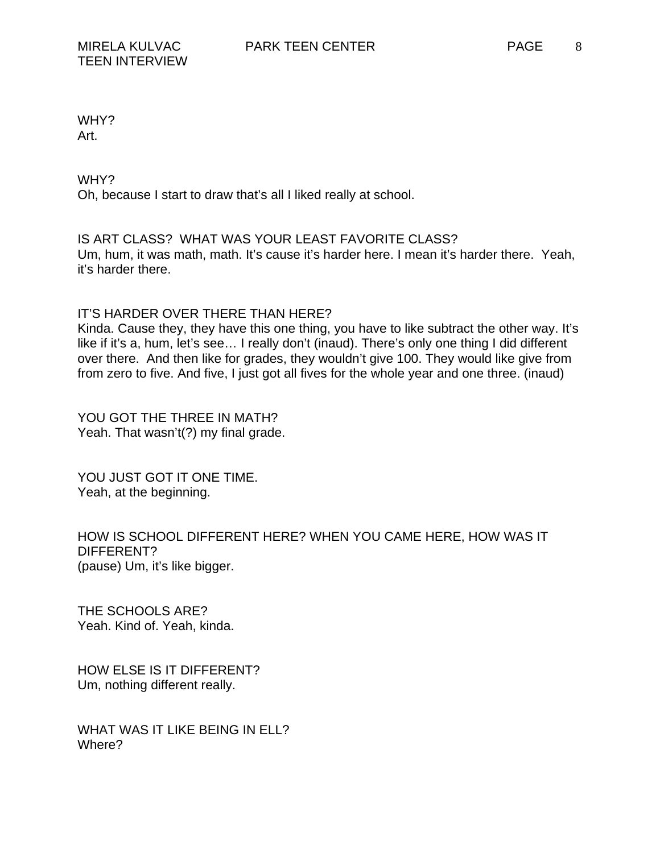Art.

WHY? Oh, because I start to draw that's all I liked really at school.

IS ART CLASS? WHAT WAS YOUR LEAST FAVORITE CLASS? Um, hum, it was math, math. It's cause it's harder here. I mean it's harder there. Yeah, it's harder there.

## IT'S HARDER OVER THERE THAN HERE?

Kinda. Cause they, they have this one thing, you have to like subtract the other way. It's like if it's a, hum, let's see… I really don't (inaud). There's only one thing I did different over there. And then like for grades, they wouldn't give 100. They would like give from from zero to five. And five, I just got all fives for the whole year and one three. (inaud)

YOU GOT THE THREE IN MATH? Yeah. That wasn't(?) my final grade.

YOU JUST GOT IT ONE TIME. Yeah, at the beginning.

HOW IS SCHOOL DIFFERENT HERE? WHEN YOU CAME HERE, HOW WAS IT DIFFERENT? (pause) Um, it's like bigger.

THE SCHOOLS ARE? Yeah. Kind of. Yeah, kinda.

HOW ELSE IS IT DIFFERENT? Um, nothing different really.

WHAT WAS IT LIKE BEING IN ELL? Where?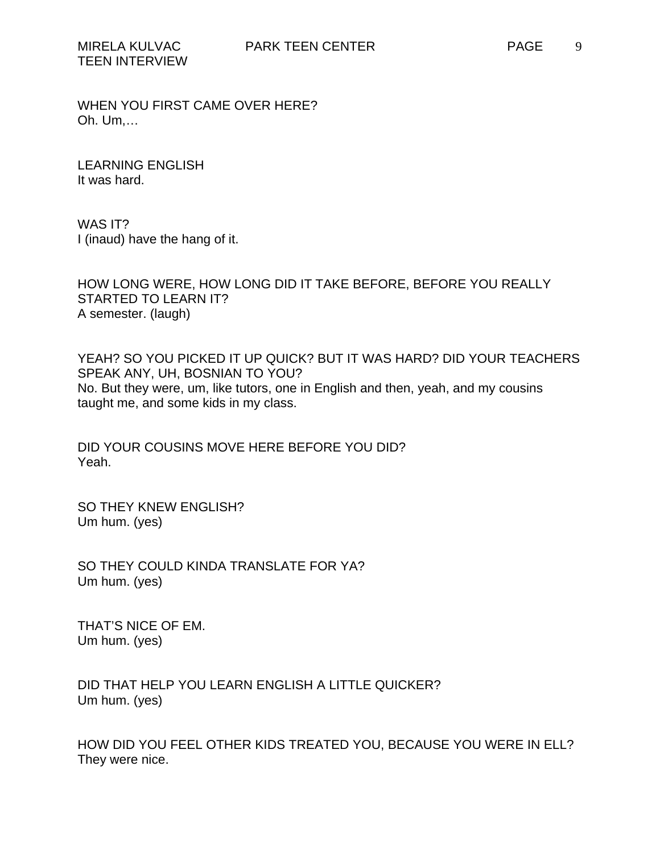WHEN YOU FIRST CAME OVER HERE? Oh. Um,…

LEARNING ENGLISH It was hard.

WAS IT? I (inaud) have the hang of it.

HOW LONG WERE, HOW LONG DID IT TAKE BEFORE, BEFORE YOU REALLY STARTED TO LEARN IT? A semester. (laugh)

YEAH? SO YOU PICKED IT UP QUICK? BUT IT WAS HARD? DID YOUR TEACHERS SPEAK ANY, UH, BOSNIAN TO YOU? No. But they were, um, like tutors, one in English and then, yeah, and my cousins taught me, and some kids in my class.

DID YOUR COUSINS MOVE HERE BEFORE YOU DID? Yeah.

SO THEY KNEW ENGLISH? Um hum. (yes)

SO THEY COULD KINDA TRANSLATE FOR YA? Um hum. (yes)

THAT'S NICE OF EM. Um hum. (yes)

DID THAT HELP YOU LEARN ENGLISH A LITTLE QUICKER? Um hum. (yes)

HOW DID YOU FEEL OTHER KIDS TREATED YOU, BECAUSE YOU WERE IN ELL? They were nice.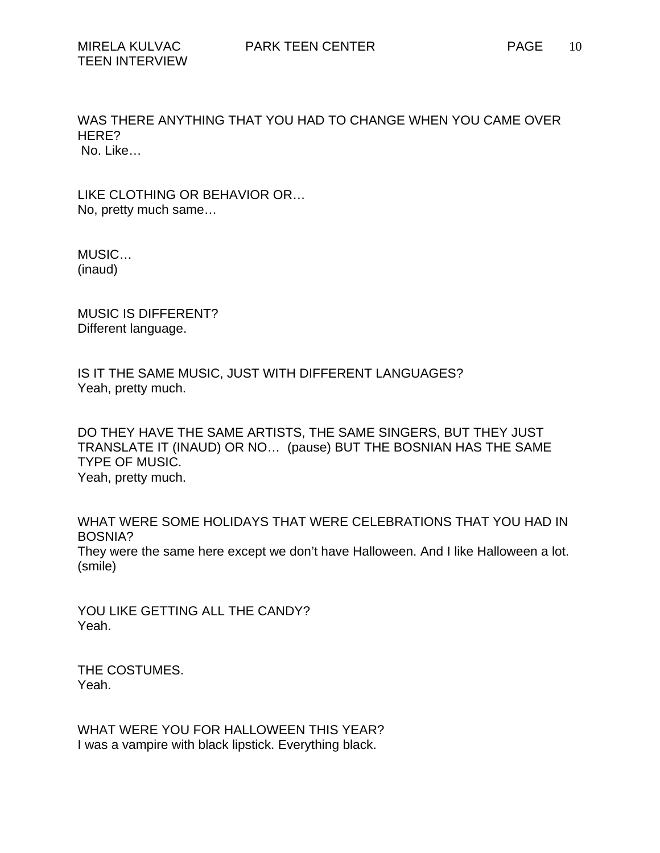No. Like…

LIKE CLOTHING OR BEHAVIOR OR… No, pretty much same…

MUSIC… (inaud)

MUSIC IS DIFFERENT? Different language.

IS IT THE SAME MUSIC, JUST WITH DIFFERENT LANGUAGES? Yeah, pretty much.

DO THEY HAVE THE SAME ARTISTS, THE SAME SINGERS, BUT THEY JUST TRANSLATE IT (INAUD) OR NO… (pause) BUT THE BOSNIAN HAS THE SAME TYPE OF MUSIC. Yeah, pretty much.

WHAT WERE SOME HOLIDAYS THAT WERE CELEBRATIONS THAT YOU HAD IN BOSNIA? They were the same here except we don't have Halloween. And I like Halloween a lot. (smile)

YOU LIKE GETTING ALL THE CANDY? Yeah.

THE COSTUMES. Yeah.

WHAT WERE YOU FOR HALLOWEEN THIS YEAR? I was a vampire with black lipstick. Everything black.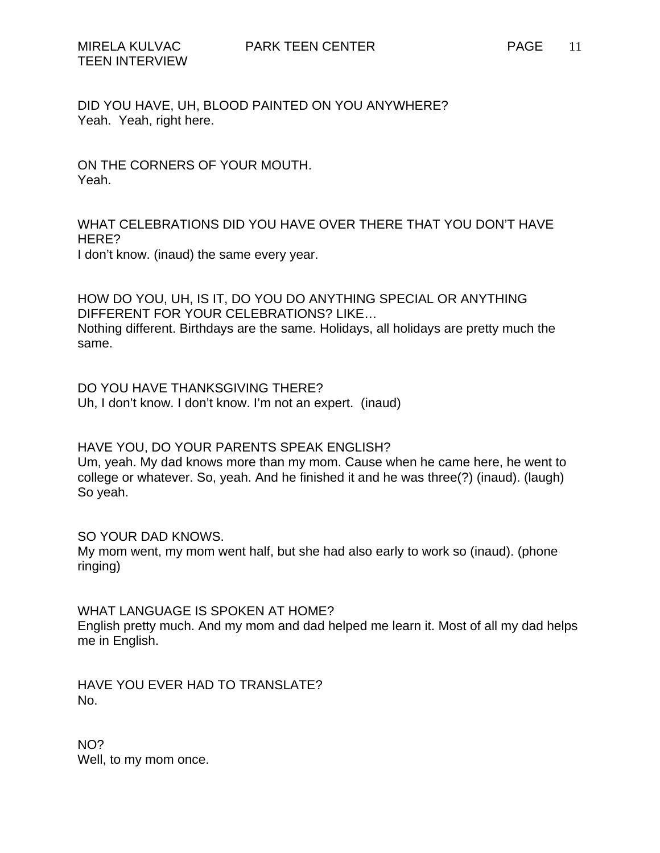DID YOU HAVE, UH, BLOOD PAINTED ON YOU ANYWHERE? Yeah. Yeah, right here.

ON THE CORNERS OF YOUR MOUTH. Yeah.

WHAT CELEBRATIONS DID YOU HAVE OVER THERE THAT YOU DON'T HAVE HERE? I don't know. (inaud) the same every year.

HOW DO YOU, UH, IS IT, DO YOU DO ANYTHING SPECIAL OR ANYTHING DIFFERENT FOR YOUR CELEBRATIONS? LIKE… Nothing different. Birthdays are the same. Holidays, all holidays are pretty much the same.

DO YOU HAVE THANKSGIVING THERE? Uh, I don't know. I don't know. I'm not an expert. (inaud)

HAVE YOU, DO YOUR PARENTS SPEAK ENGLISH?

Um, yeah. My dad knows more than my mom. Cause when he came here, he went to college or whatever. So, yeah. And he finished it and he was three(?) (inaud). (laugh) So yeah.

SO YOUR DAD KNOWS.

My mom went, my mom went half, but she had also early to work so (inaud). (phone ringing)

WHAT LANGUAGE IS SPOKEN AT HOME?

English pretty much. And my mom and dad helped me learn it. Most of all my dad helps me in English.

HAVE YOU EVER HAD TO TRANSLATE? No.

NO? Well, to my mom once.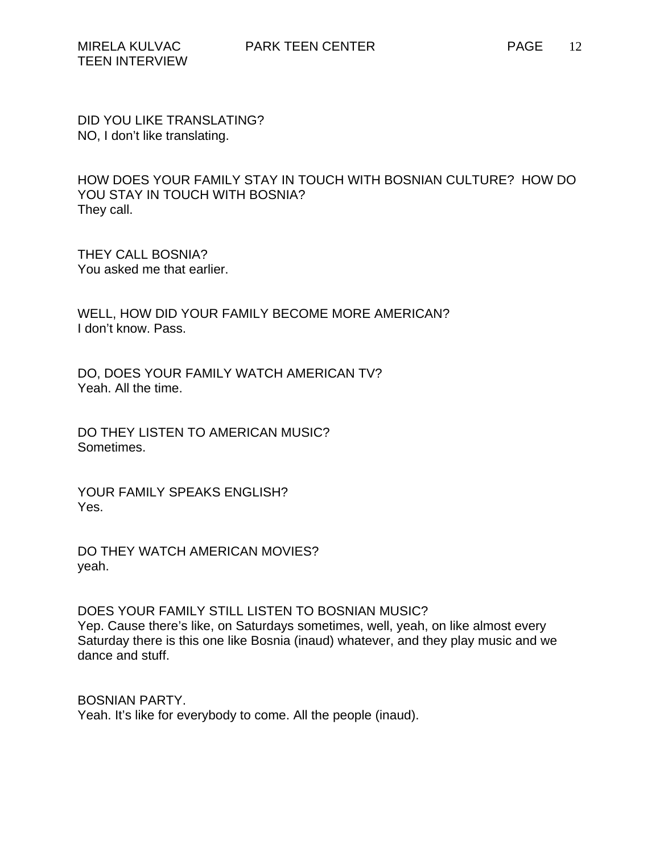DID YOU LIKE TRANSLATING? NO, I don't like translating.

HOW DOES YOUR FAMILY STAY IN TOUCH WITH BOSNIAN CULTURE? HOW DO YOU STAY IN TOUCH WITH BOSNIA? They call.

THEY CALL BOSNIA? You asked me that earlier.

WELL, HOW DID YOUR FAMILY BECOME MORE AMERICAN? I don't know. Pass.

DO, DOES YOUR FAMILY WATCH AMERICAN TV? Yeah. All the time.

DO THEY LISTEN TO AMERICAN MUSIC? Sometimes.

YOUR FAMILY SPEAKS ENGLISH? Yes.

DO THEY WATCH AMERICAN MOVIES? yeah.

DOES YOUR FAMILY STILL LISTEN TO BOSNIAN MUSIC? Yep. Cause there's like, on Saturdays sometimes, well, yeah, on like almost every Saturday there is this one like Bosnia (inaud) whatever, and they play music and we dance and stuff.

BOSNIAN PARTY. Yeah. It's like for everybody to come. All the people (inaud).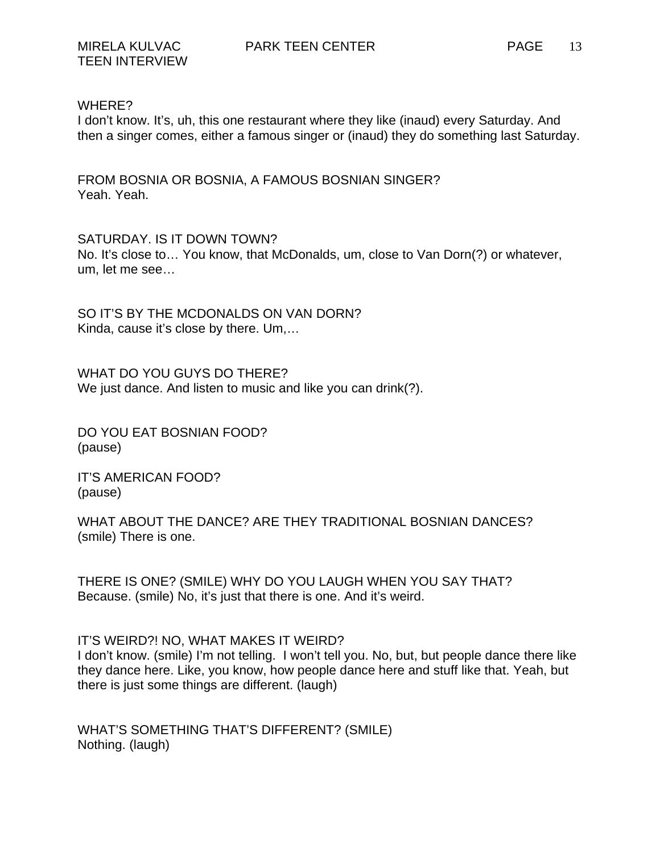## WHERE?

I don't know. It's, uh, this one restaurant where they like (inaud) every Saturday. And then a singer comes, either a famous singer or (inaud) they do something last Saturday.

FROM BOSNIA OR BOSNIA, A FAMOUS BOSNIAN SINGER? Yeah. Yeah.

SATURDAY. IS IT DOWN TOWN? No. It's close to… You know, that McDonalds, um, close to Van Dorn(?) or whatever, um, let me see…

SO IT'S BY THE MCDONALDS ON VAN DORN? Kinda, cause it's close by there. Um,…

WHAT DO YOU GUYS DO THERE? We just dance. And listen to music and like you can drink(?).

DO YOU EAT BOSNIAN FOOD? (pause)

IT'S AMERICAN FOOD? (pause)

WHAT ABOUT THE DANCE? ARE THEY TRADITIONAL BOSNIAN DANCES? (smile) There is one.

THERE IS ONE? (SMILE) WHY DO YOU LAUGH WHEN YOU SAY THAT? Because. (smile) No, it's just that there is one. And it's weird.

IT'S WEIRD?! NO, WHAT MAKES IT WEIRD?

I don't know. (smile) I'm not telling. I won't tell you. No, but, but people dance there like they dance here. Like, you know, how people dance here and stuff like that. Yeah, but there is just some things are different. (laugh)

WHAT'S SOMETHING THAT'S DIFFERENT? (SMILE) Nothing. (laugh)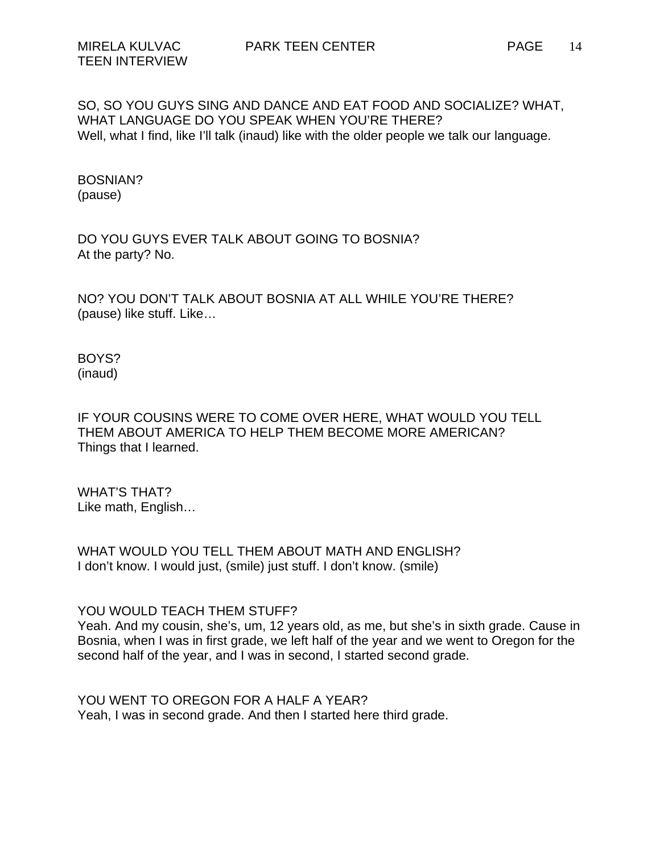SO, SO YOU GUYS SING AND DANCE AND EAT FOOD AND SOCIALIZE? WHAT, WHAT LANGUAGE DO YOU SPEAK WHEN YOU'RE THERE? Well, what I find, like I'll talk (inaud) like with the older people we talk our language.

BOSNIAN? (pause)

DO YOU GUYS EVER TALK ABOUT GOING TO BOSNIA? At the party? No.

NO? YOU DON'T TALK ABOUT BOSNIA AT ALL WHILE YOU'RE THERE? (pause) like stuff. Like…

BOYS? (inaud)

IF YOUR COUSINS WERE TO COME OVER HERE, WHAT WOULD YOU TELL THEM ABOUT AMERICA TO HELP THEM BECOME MORE AMERICAN? Things that I learned.

WHAT'S THAT? Like math, English…

WHAT WOULD YOU TELL THEM ABOUT MATH AND ENGLISH? I don't know. I would just, (smile) just stuff. I don't know. (smile)

YOU WOULD TEACH THEM STUFF?

Yeah. And my cousin, she's, um, 12 years old, as me, but she's in sixth grade. Cause in Bosnia, when I was in first grade, we left half of the year and we went to Oregon for the second half of the year, and I was in second, I started second grade.

YOU WENT TO OREGON FOR A HALF A YEAR? Yeah, I was in second grade. And then I started here third grade.